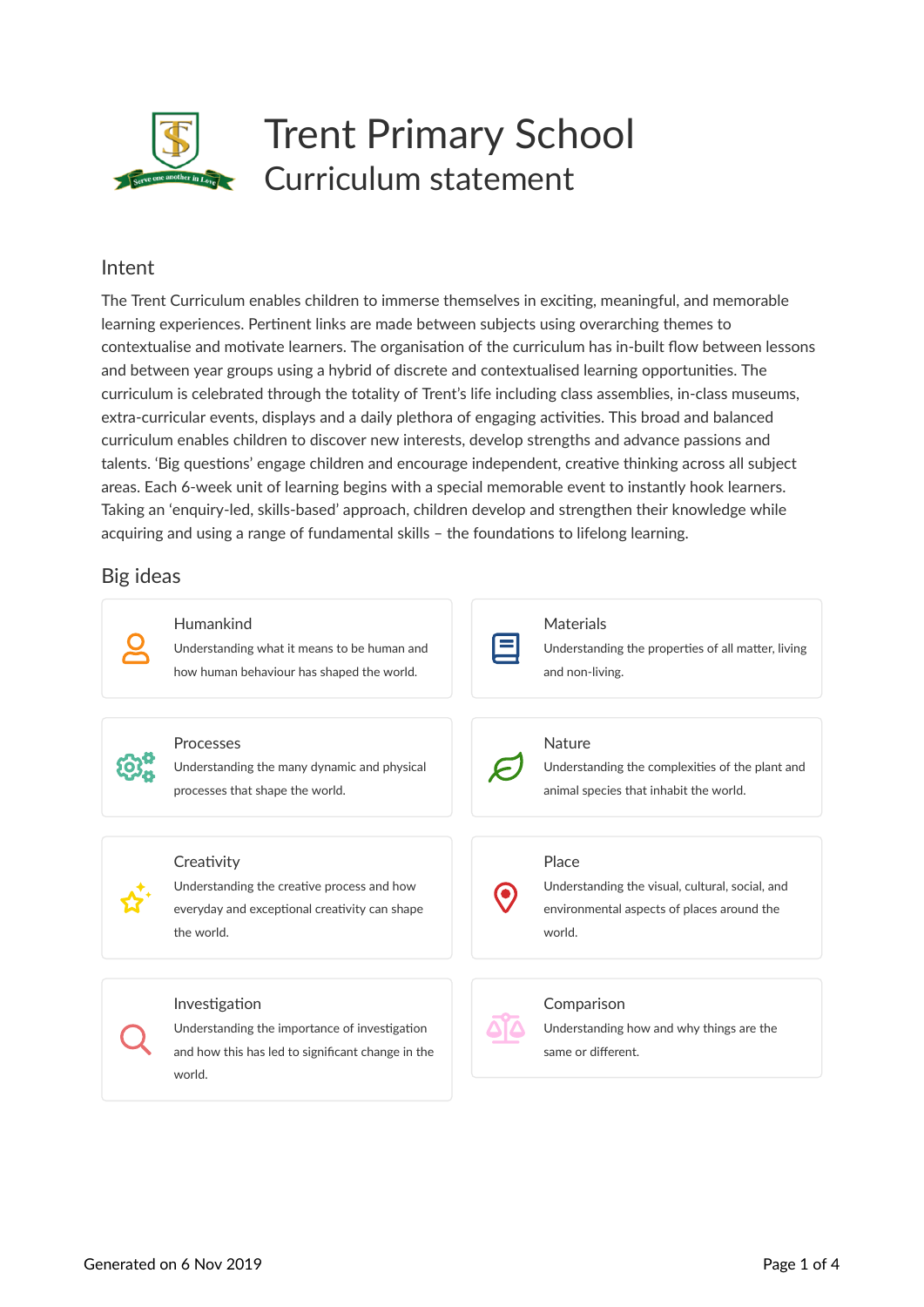

#### Intent

The Trent Curriculum enables children to immerse themselves in exciting, meaningful, and memorable learning experiences. Pertinent links are made between subjects using overarching themes to contextualise and motivate learners. The organisation of the curriculum has in-built flow between lessons and between year groups using a hybrid of discrete and contextualised learning opportunities. The curriculum is celebrated through the totality of Trent's life including class assemblies, in-class museums, extra-curricular events, displays and a daily plethora of engaging activities. This broad and balanced curriculum enables children to discover new interests, develop strengths and advance passions and talents. 'Big questions' engage children and encourage independent, creative thinking across all subject areas. Each 6-week unit of learning begins with a special memorable event to instantly hook learners. Taking an 'enquiry-led, skills-based' approach, children develop and strengthen their knowledge while acquiring and using a range of fundamental skills – the foundations to lifelong learning.

#### Big ideas

| Humankind<br>Understanding what it means to be human and<br>how human behaviour has shaped the world.                         | Materials<br>Understanding the properties of all matter, living<br>and non-living.                               |
|-------------------------------------------------------------------------------------------------------------------------------|------------------------------------------------------------------------------------------------------------------|
| Processes<br>Understanding the many dynamic and physical<br>processes that shape the world.                                   | Nature<br>Understanding the complexities of the plant and<br>animal species that inhabit the world.              |
| Creativity<br>Understanding the creative process and how<br>everyday and exceptional creativity can shape<br>the world.       | Place<br>Understanding the visual, cultural, social, and<br>environmental aspects of places around the<br>world. |
| Investigation<br>Understanding the importance of investigation<br>and how this has led to significant change in the<br>world. | Comparison<br>Understanding how and why things are the<br>same or different.                                     |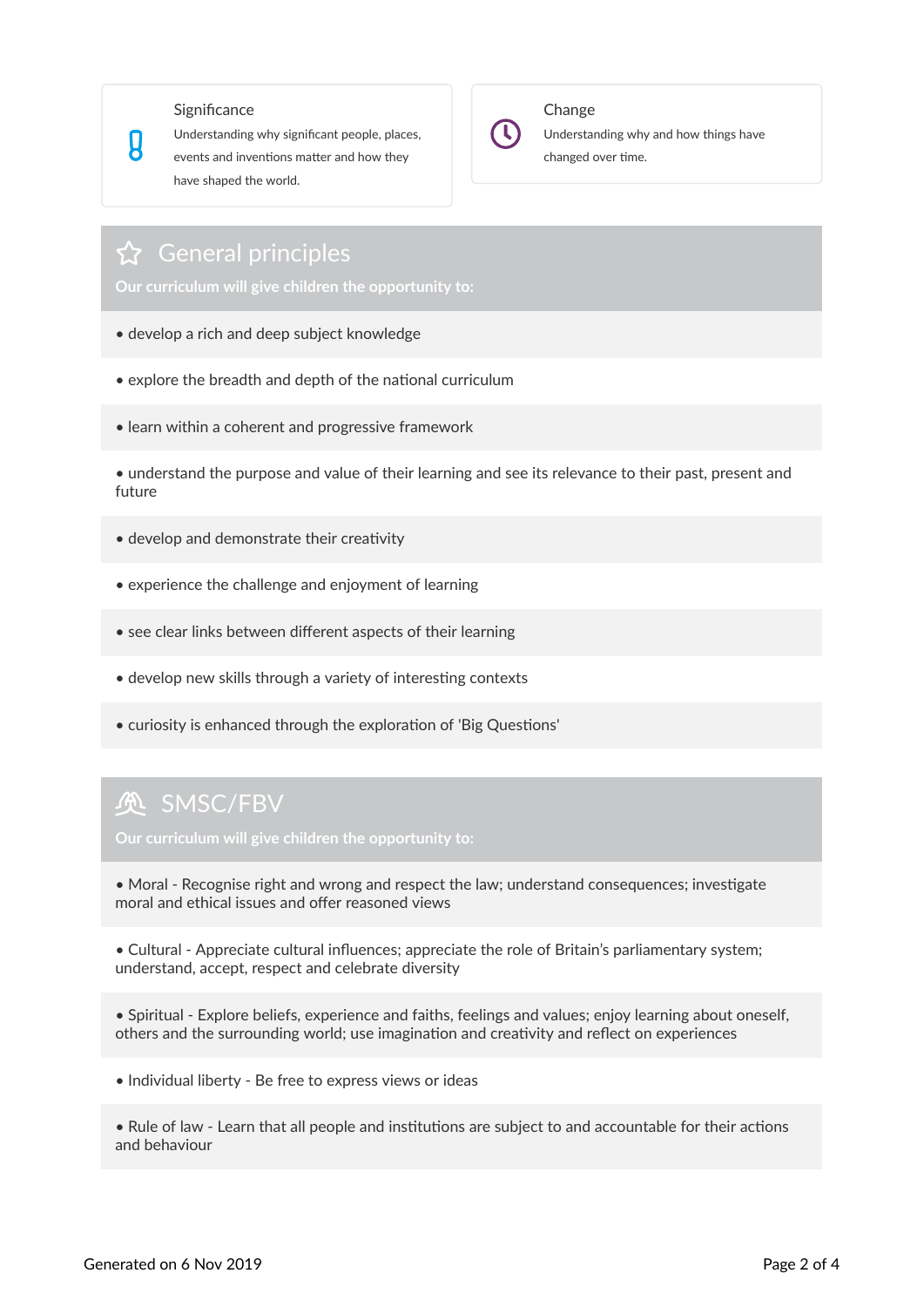#### **Significance**

 $\bm{\mathfrak{g}}$ 

Understanding why significant people, places, events and inventions matter and how they have shaped the world.



#### Change

Understanding why and how things have changed over time.

#### $\Omega$  General principles

**Our curriculum will give children the opportunity to:**

- develop a rich and deep subject knowledge
- explore the breadth and depth of the national curriculum
- learn within a coherent and progressive framework

• understand the purpose and value of their learning and see its relevance to their past, present and future

- develop and demonstrate their creativity
- experience the challenge and enjoyment of learning
- see clear links between different aspects of their learning
- develop new skills through a variety of interesting contexts
- curiosity is enhanced through the exploration of 'Big Questions'

### **负 SMSC/FBV**

**Our curriculum will give children the opportunity to:**

• Moral - Recognise right and wrong and respect the law; understand consequences; investigate moral and ethical issues and offer reasoned views

• Cultural - Appreciate cultural influences; appreciate the role of Britain's parliamentary system; understand, accept, respect and celebrate diversity

• Spiritual - Explore beliefs, experience and faiths, feelings and values; enjoy learning about oneself, others and the surrounding world; use imagination and creativity and reflect on experiences

• Individual liberty - Be free to express views or ideas

• Rule of law - Learn that all people and institutions are subject to and accountable for their actions and behaviour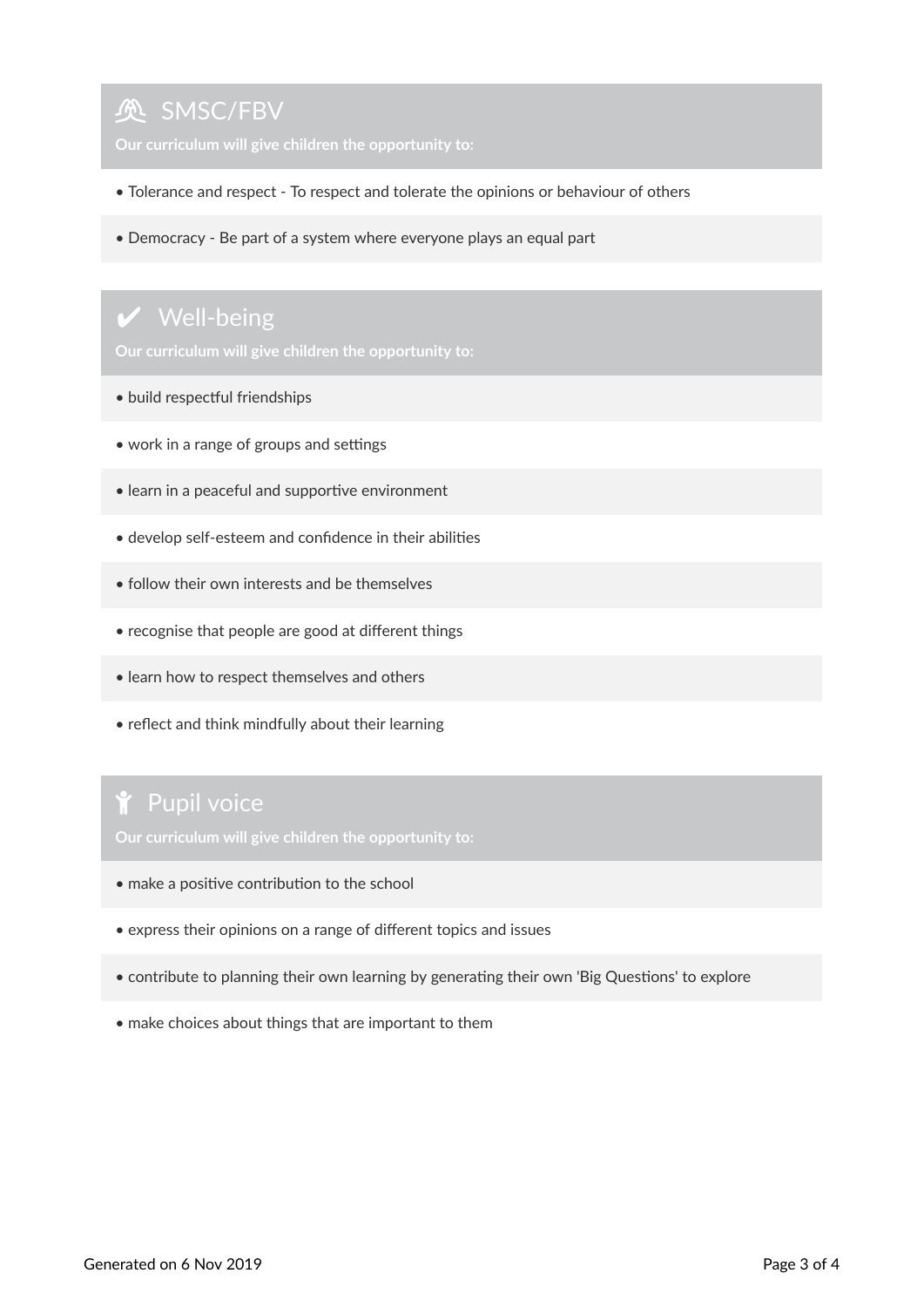# **负 SMSC/FBV**

- Tolerance and respect To respect and tolerate the opinions or behaviour of others
- Democracy Be part of a system where everyone plays an equal part

# $\vee$  Well-being

**Our curriculum will give children the opportunity to:**

- build respectful friendships
- work in a range of groups and settings
- learn in a peaceful and supportive environment
- develop self-esteem and confidence in their abilities
- follow their own interests and be themselves
- recognise that people are good at different things
- learn how to respect themselves and others
- reflect and think mindfully about their learning

# Pupil voice

- make a positive contribution to the school
- express their opinions on a range of different topics and issues
- contribute to planning their own learning by generating their own 'Big Questions' to explore
- make choices about things that are important to them